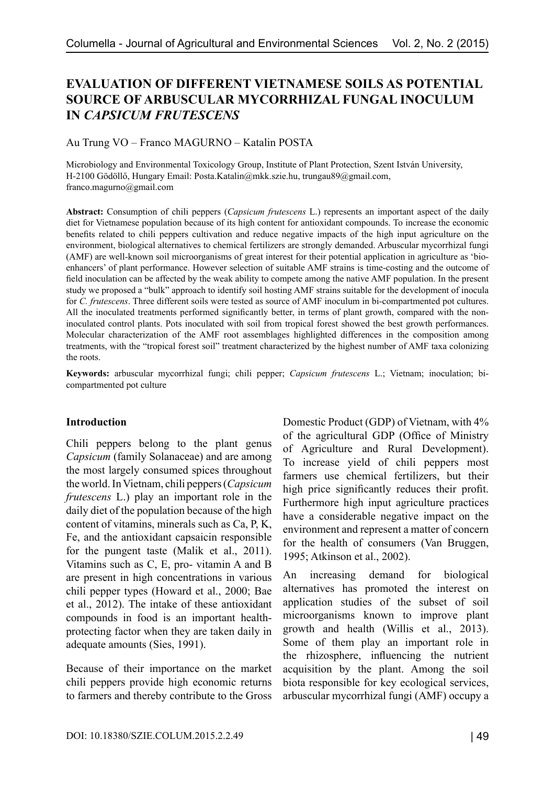# **EVALUATION OF DIFFERENT VIETNAMESE SOILS AS POTENTIAL SOURCE OF ARBUSCULAR MYCORRHIZAL FUNGAL INOCULUM IN** *CAPSICUM FRUTESCENS*

Au Trung VO – Franco MAGURNO – Katalin POSTA

Microbiology and Environmental Toxicology Group, Institute of Plant Protection, Szent István University, H-2100 Gödöllő, Hungary Email: Posta.Katalin@mkk.szie.hu, trungau89@gmail.com, franco.magurno@gmail.com

**Abstract:** Consumption of chili peppers (*Capsicum frutescens* L.) represents an important aspect of the daily diet for Vietnamese population because of its high content for antioxidant compounds. To increase the economic benefits related to chili peppers cultivation and reduce negative impacts of the high input agriculture on the environment, biological alternatives to chemical fertilizers are strongly demanded. Arbuscular mycorrhizal fungi (AMF) are well-known soil microorganisms of great interest for their potential application in agriculture as 'bioenhancers' of plant performance. However selection of suitable AMF strains is time-costing and the outcome of field inoculation can be affected by the weak ability to compete among the native AMF population. In the present study we proposed a "bulk" approach to identify soil hosting AMF strains suitable for the development of inocula for *C. frutescens*. Three different soils were tested as source of AMF inoculum in bi-compartmented pot cultures. All the inoculated treatments performed significantly better, in terms of plant growth, compared with the noninoculated control plants. Pots inoculated with soil from tropical forest showed the best growth performances. Molecular characterization of the AMF root assemblages highlighted differences in the composition among treatments, with the "tropical forest soil" treatment characterized by the highest number of AMF taxa colonizing the roots.

**Keywords:** arbuscular mycorrhizal fungi; chili pepper; *Capsicum frutescens* L.; Vietnam; inoculation; bicompartmented pot culture

#### **Introduction**

Chili peppers belong to the plant genus *Capsicum* (family Solanaceae) and are among the most largely consumed spices throughout the world. In Vietnam, chili peppers (*Capsicum frutescens* L.) play an important role in the daily diet of the population because of the high content of vitamins, minerals such as Ca, P, K, Fe, and the antioxidant capsaicin responsible for the pungent taste (Malik et al., 2011). Vitamins such as C, E, pro- vitamin A and B are present in high concentrations in various chili pepper types (Howard et al., 2000; Bae et al., 2012). The intake of these antioxidant compounds in food is an important healthprotecting factor when they are taken daily in adequate amounts (Sies, 1991).

Because of their importance on the market chili peppers provide high economic returns to farmers and thereby contribute to the Gross Domestic Product (GDP) of Vietnam, with 4% of the agricultural GDP (Office of Ministry of Agriculture and Rural Development). To increase yield of chili peppers most farmers use chemical fertilizers, but their high price significantly reduces their profit. Furthermore high input agriculture practices have a considerable negative impact on the environment and represent a matter of concern for the health of consumers (Van Bruggen, 1995; Atkinson et al., 2002).

An increasing demand for biological alternatives has promoted the interest on application studies of the subset of soil microorganisms known to improve plant growth and health (Willis et al., 2013). Some of them play an important role in the rhizosphere, influencing the nutrient acquisition by the plant. Among the soil biota responsible for key ecological services, arbuscular mycorrhizal fungi (AMF) occupy a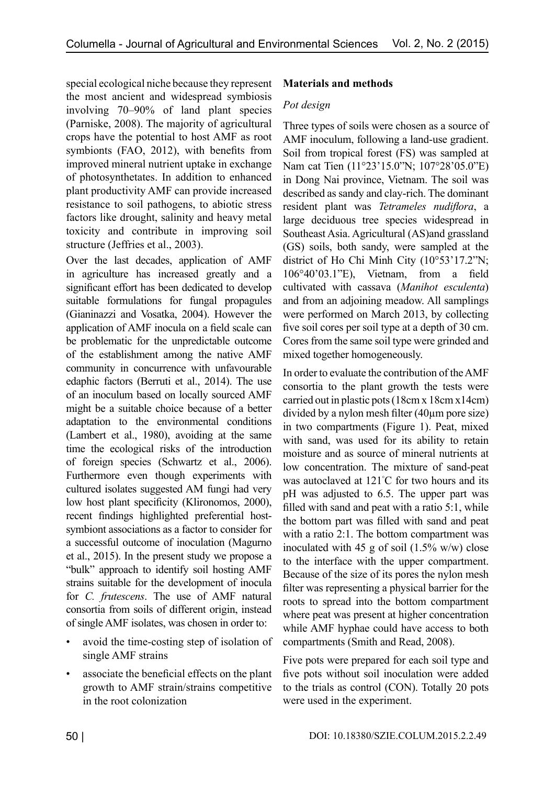special ecological niche because they represent the most ancient and widespread symbiosis involving 70–90% of land plant species (Parniske, 2008). The majority of agricultural crops have the potential to host AMF as root symbionts (FAO, 2012), with benefits from improved mineral nutrient uptake in exchange of photosynthetates. In addition to enhanced plant productivity AMF can provide increased resistance to soil pathogens, to abiotic stress factors like drought, salinity and heavy metal toxicity and contribute in improving soil structure (Jeffries et al., 2003).

Over the last decades, application of AMF in agriculture has increased greatly and a significant effort has been dedicated to develop suitable formulations for fungal propagules (Gianinazzi and Vosatka, 2004). However the application of AMF inocula on a field scale can be problematic for the unpredictable outcome of the establishment among the native AMF community in concurrence with unfavourable edaphic factors (Berruti et al., 2014). The use of an inoculum based on locally sourced AMF might be a suitable choice because of a better adaptation to the environmental conditions (Lambert et al., 1980), avoiding at the same time the ecological risks of the introduction of foreign species (Schwartz et al., 2006). Furthermore even though experiments with cultured isolates suggested AM fungi had very low host plant specificity (Klironomos, 2000), recent findings highlighted preferential hostsymbiont associations as a factor to consider for a successful outcome of inoculation (Magurno et al., 2015). In the present study we propose a "bulk" approach to identify soil hosting AMF strains suitable for the development of inocula for *C. frutescens*. The use of AMF natural consortia from soils of different origin, instead of single AMF isolates, was chosen in order to:

- avoid the time-costing step of isolation of single AMF strains
- associate the beneficial effects on the plant growth to AMF strain/strains competitive in the root colonization

## **Materials and methods**

### *Pot design*

Three types of soils were chosen as a source of AMF inoculum, following a land-use gradient. Soil from tropical forest (FS) was sampled at Nam cat Tien (11°23'15.0"N; 107°28'05.0"E) in Dong Nai province, Vietnam. The soil was described as sandy and clay-rich. The dominant resident plant was *Tetrameles nudiflora*, a large deciduous tree species widespread in Southeast Asia. Agricultural (AS)and grassland (GS) soils, both sandy, were sampled at the district of Ho Chi Minh City (10°53'17.2"N; 106°40'03.1"E), Vietnam, from a field cultivated with cassava (*Manihot esculenta*) and from an adjoining meadow. All samplings were performed on March 2013, by collecting five soil cores per soil type at a depth of 30 cm. Cores from the same soil type were grinded and mixed together homogeneously.

In order to evaluate the contribution of the AMF consortia to the plant growth the tests were carried out in plastic pots (18cm x 18cm x14cm) divided by a nylon mesh filter (40µm pore size) in two compartments (Figure 1). Peat, mixed with sand, was used for its ability to retain moisture and as source of mineral nutrients at low concentration. The mixture of sand-peat was autoclaved at 121° C for two hours and its pH was adjusted to 6.5. The upper part was filled with sand and peat with a ratio 5:1, while the bottom part was filled with sand and peat with a ratio 2:1. The bottom compartment was inoculated with 45 g of soil  $(1.5\% \text{ w/w})$  close to the interface with the upper compartment. Because of the size of its pores the nylon mesh filter was representing a physical barrier for the roots to spread into the bottom compartment where peat was present at higher concentration while AMF hyphae could have access to both compartments (Smith and Read, 2008).

Five pots were prepared for each soil type and five pots without soil inoculation were added to the trials as control (CON). Totally 20 pots were used in the experiment.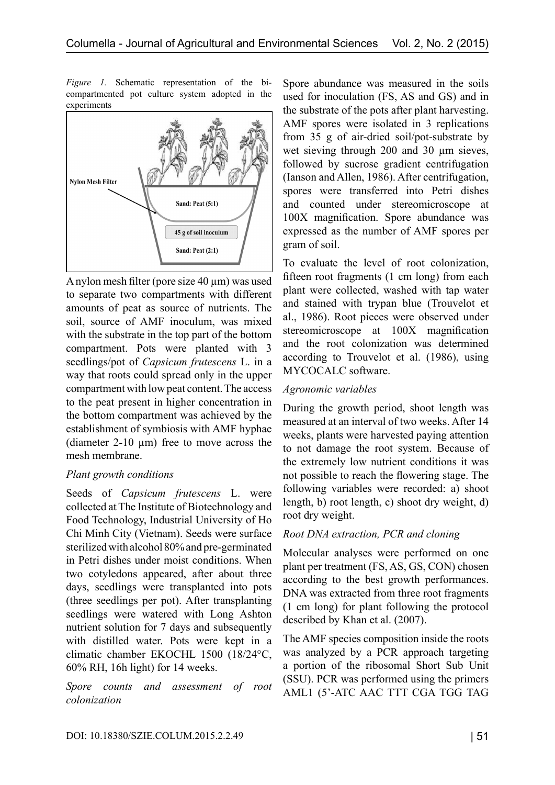*Figure 1.* Schematic representation of the bicompartmented pot culture system adopted in the experiments



A nylon mesh filter (pore size 40 µm) was used to separate two compartments with different amounts of peat as source of nutrients. The soil, source of AMF inoculum, was mixed with the substrate in the top part of the bottom compartment. Pots were planted with 3 seedlings/pot of *Capsicum frutescens* L. in a way that roots could spread only in the upper compartment with low peat content. The access to the peat present in higher concentration in the bottom compartment was achieved by the establishment of symbiosis with AMF hyphae (diameter  $2-10 \mu m$ ) free to move across the mesh membrane.

#### *Plant growth conditions*

Seeds of *Capsicum frutescens* L. were collected at The Institute of Biotechnology and Food Technology, Industrial University of Ho Chi Minh City (Vietnam). Seeds were surface sterilized with alcohol 80% and pre-germinated in Petri dishes under moist conditions. When two cotyledons appeared, after about three days, seedlings were transplanted into pots (three seedlings per pot). After transplanting seedlings were watered with Long Ashton nutrient solution for 7 days and subsequently with distilled water. Pots were kept in a climatic chamber EKOCHL 1500 (18/24°C, 60% RH, 16h light) for 14 weeks.

*Spore counts and assessment of root colonization* 

Spore abundance was measured in the soils used for inoculation (FS, AS and GS) and in the substrate of the pots after plant harvesting. AMF spores were isolated in 3 replications from 35 g of air-dried soil/pot-substrate by wet sieving through 200 and 30  $\mu$ m sieves, followed by sucrose gradient centrifugation (Ianson and Allen, 1986). After centrifugation, spores were transferred into Petri dishes and counted under stereomicroscope at 100X magnification. Spore abundance was expressed as the number of AMF spores per gram of soil.

To evaluate the level of root colonization, fifteen root fragments (1 cm long) from each plant were collected, washed with tap water and stained with trypan blue (Trouvelot et al., 1986). Root pieces were observed under stereomicroscope at 100X magnification and the root colonization was determined according to Trouvelot et al. (1986), using MYCOCALC software.

#### *Agronomic variables*

During the growth period, shoot length was measured at an interval of two weeks. After 14 weeks, plants were harvested paying attention to not damage the root system. Because of the extremely low nutrient conditions it was not possible to reach the flowering stage. The following variables were recorded: a) shoot length, b) root length, c) shoot dry weight, d) root dry weight.

## *Root DNA extraction, PCR and cloning*

Molecular analyses were performed on one plant per treatment (FS, AS, GS, CON) chosen according to the best growth performances. DNA was extracted from three root fragments (1 cm long) for plant following the protocol described by Khan et al. (2007).

The AMF species composition inside the roots was analyzed by a PCR approach targeting a portion of the ribosomal Short Sub Unit (SSU). PCR was performed using the primers AML1 (5'-ATC AAC TTT CGA TGG TAG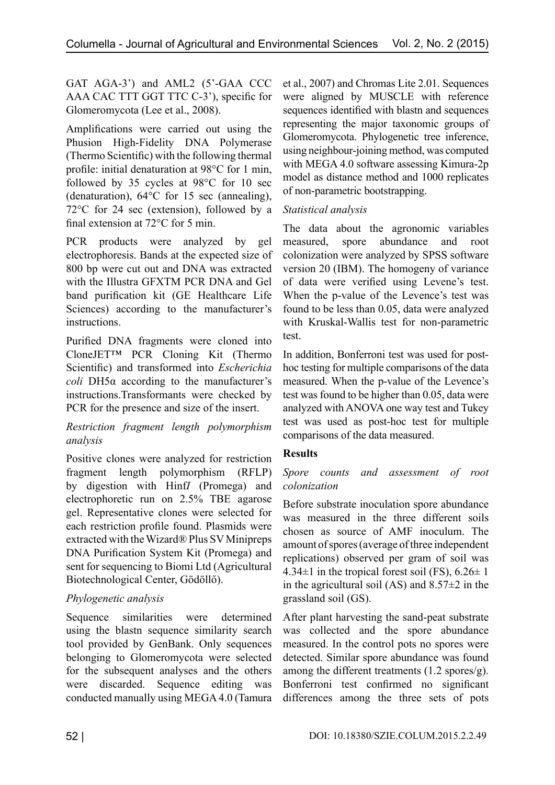GAT AGA-3') and AML2 (5'-GAA CCC AAA CAC TTT GGT TTC C-3'), specific for Glomeromycota (Lee et al., 2008).

Amplifications were carried out using the Phusion High-Fidelity DNA Polymerase (Thermo Scientific) with the following thermal profile: initial denaturation at 98°C for 1 min, followed by 35 cycles at 98°C for 10 sec (denaturation), 64°C for 15 sec (annealing), 72°C for 24 sec (extension), followed by a final extension at 72°C for 5 min.

PCR products were analyzed by gel electrophoresis. Bands at the expected size of 800 bp were cut out and DNA was extracted with the Illustra GFXTM PCR DNA and Gel band purification kit (GE Healthcare Life Sciences) according to the manufacturer's instructions.

Purified DNA fragments were cloned into CloneJET™ PCR Cloning Kit (Thermo Scientific) and transformed into *Escherichia coli* DH5α according to the manufacturer's instructions.Transformants were checked by PCR for the presence and size of the insert.

### *Restriction fragment length polymorphism analysis*

Positive clones were analyzed for restriction fragment length polymorphism (RFLP) by digestion with Hinf*I* (Promega) and electrophoretic run on 2.5% TBE agarose gel. Representative clones were selected for each restriction profile found. Plasmids were extracted with the Wizard® Plus SV Minipreps DNA Purification System Kit (Promega) and sent for sequencing to Biomi Ltd (Agricultural Biotechnological Center, Gödöllő).

## *Phylogenetic analysis*

Sequence similarities were determined using the blastn sequence similarity search tool provided by GenBank. Only sequences belonging to Glomeromycota were selected for the subsequent analyses and the others were discarded. Sequence editing was conducted manually using MEGA 4.0 (Tamura et al., 2007) and Chromas Lite 2.01. Sequences were aligned by MUSCLE with reference sequences identified with blastn and sequences representing the major taxonomic groups of Glomeromycota. Phylogenetic tree inference, using neighbour-joining method, was computed with MEGA 4.0 software assessing Kimura-2p model as distance method and 1000 replicates of non-parametric bootstrapping.

### *Statistical analysis*

The data about the agronomic variables measured, spore abundance and root colonization were analyzed by SPSS software version 20 (IBM). The homogeny of variance of data were verified using Levene's test. When the p-value of the Levence's test was found to be less than 0.05, data were analyzed with Kruskal-Wallis test for non-parametric test.

In addition, Bonferroni test was used for posthoc testing for multiple comparisons of the data measured. When the p-value of the Levence's test was found to be higher than 0.05, data were analyzed with ANOVA one way test and Tukey test was used as post-hoc test for multiple comparisons of the data measured.

## **Results**

#### *Spore counts and assessment of root colonization*

Before substrate inoculation spore abundance was measured in the three different soils chosen as source of AMF inoculum. The amount of spores (average of three independent replications) observed per gram of soil was 4.34 $\pm$ 1 in the tropical forest soil (FS), 6.26 $\pm$  1 in the agricultural soil (AS) and 8.57±2 in the grassland soil (GS).

After plant harvesting the sand-peat substrate was collected and the spore abundance measured. In the control pots no spores were detected. Similar spore abundance was found among the different treatments (1.2 spores/g). Bonferroni test confirmed no significant differences among the three sets of pots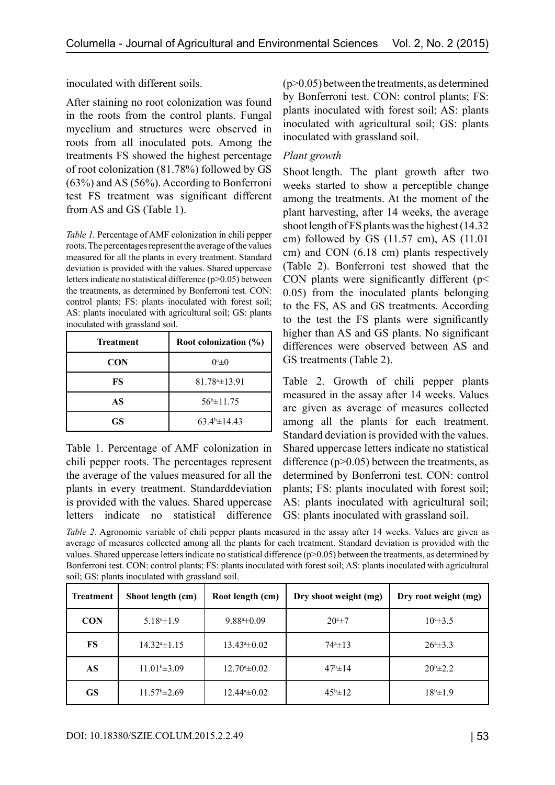inoculated with different soils.

After staining no root colonization was found in the roots from the control plants. Fungal mycelium and structures were observed in roots from all inoculated pots. Among the treatments FS showed the highest percentage of root colonization (81.78%) followed by GS (63%) and AS (56%). According to Bonferroni test FS treatment was significant different from AS and GS (Table 1).

*Table 1.* Percentage of AMF colonization in chili pepper roots. The percentages represent the average of the values measured for all the plants in every treatment. Standard deviation is provided with the values. Shared uppercase letters indicate no statistical difference (p>0.05) between the treatments, as determined by Bonferroni test. CON: control plants; FS: plants inoculated with forest soil; AS: plants inoculated with agricultural soil; GS: plants inoculated with grassland soil.

| <b>Treatment</b> | Root colonization $(\% )$ |  |
|------------------|---------------------------|--|
| <b>CON</b>       | $0 \infty$                |  |
| FS               | $81.784 \pm 13.91$        |  |
| AS               | $56^{b} \pm 11.75$        |  |
| GS.              | $63.4^{\circ}$ ± 14.43    |  |

Table 1. Percentage of AMF colonization in chili pepper roots. The percentages represent the average of the values measured for all the plants in every treatment. Standarddeviation is provided with the values. Shared uppercase letters indicate no statistical difference  $(p>0.05)$  between the treatments, as determined by Bonferroni test. CON: control plants; FS: plants inoculated with forest soil; AS: plants inoculated with agricultural soil; GS: plants inoculated with grassland soil.

### *Plant growth*

Shoot length. The plant growth after two weeks started to show a perceptible change among the treatments. At the moment of the plant harvesting, after 14 weeks, the average shoot length of FS plants was the highest (14.32 cm) followed by GS (11.57 cm), AS (11.01 cm) and CON (6.18 cm) plants respectively (Table 2). Bonferroni test showed that the CON plants were significantly different ( $p$  < 0.05) from the inoculated plants belonging to the FS, AS and GS treatments. According to the test the FS plants were significantly higher than AS and GS plants. No significant differences were observed between AS and GS treatments (Table 2).

Table 2. Growth of chili pepper plants measured in the assay after 14 weeks. Values are given as average of measures collected among all the plants for each treatment. Standard deviation is provided with the values. Shared uppercase letters indicate no statistical difference  $(p>0.05)$  between the treatments, as determined by Bonferroni test. CON: control plants; FS: plants inoculated with forest soil; AS: plants inoculated with agricultural soil; GS: plants inoculated with grassland soil.

*Table 2.* Agronomic variable of chili pepper plants measured in the assay after 14 weeks. Values are given as average of measures collected among all the plants for each treatment. Standard deviation is provided with the values. Shared uppercase letters indicate no statistical difference (p>0.05) between the treatments, as determined by Bonferroni test. CON: control plants; FS: plants inoculated with forest soil; AS: plants inoculated with agricultural soil; GS: plants inoculated with grassland soil.

| <b>Treatment</b> | Shoot length (cm)         | Root length (cm)           | Dry shoot weight (mg) | Dry root weight (mg) |
|------------------|---------------------------|----------------------------|-----------------------|----------------------|
| <b>CON</b>       | $5.18^{\circ}$ ± 1.9      | $9.88^{\mathrm{a}}\pm0.09$ | 20°±7                 | $10^{\circ}$ ± 3.5   |
| FS               | $14.324 \pm 1.15$         | $13.43* \pm 0.02$          | $74^{\circ}$ $\pm 13$ | $26^{\circ} \pm 3.3$ |
| AS               | $11.01^{\text{b}}\pm3.09$ | $12.70^{\circ} \pm 0.02$   | $47^{\rm b} \pm 14$   | $20^{b} \pm 2.2$     |
| <b>GS</b>        | $11.57^{\circ}$ ± 2.69    | $12.44* \pm 0.02$          | $45^{\rm b} \pm 12$   | $18^{b} \pm 1.9$     |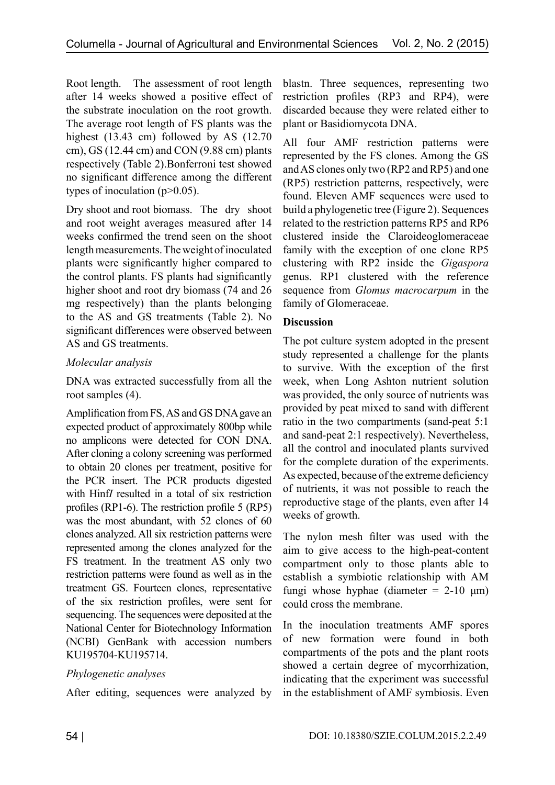Root length. The assessment of root length after 14 weeks showed a positive effect of the substrate inoculation on the root growth. The average root length of FS plants was the highest (13.43 cm) followed by AS (12.70 cm), GS (12.44 cm) and CON (9.88 cm) plants respectively (Table 2).Bonferroni test showed no significant difference among the different types of inoculation  $(p>0.05)$ .

Dry shoot and root biomass. The dry shoot and root weight averages measured after 14 weeks confirmed the trend seen on the shoot length measurements. The weight of inoculated plants were significantly higher compared to the control plants. FS plants had significantly higher shoot and root dry biomass (74 and 26 mg respectively) than the plants belonging to the AS and GS treatments (Table 2). No significant differences were observed between AS and GS treatments.

### *Molecular analysis*

DNA was extracted successfully from all the root samples (4).

Amplification from FS, AS and GS DNA gave an expected product of approximately 800bp while no amplicons were detected for CON DNA. After cloning a colony screening was performed to obtain 20 clones per treatment, positive for the PCR insert. The PCR products digested with Hinf*I* resulted in a total of six restriction profiles (RP1-6). The restriction profile 5 (RP5) was the most abundant, with 52 clones of 60 clones analyzed. All six restriction patterns were represented among the clones analyzed for the FS treatment. In the treatment AS only two restriction patterns were found as well as in the treatment GS. Fourteen clones, representative of the six restriction profiles, were sent for sequencing. The sequences were deposited at the National Center for Biotechnology Information (NCBI) GenBank with accession numbers KU195704-KU195714.

## *Phylogenetic analyses*

After editing, sequences were analyzed by

blastn. Three sequences, representing two restriction profiles (RP3 and RP4), were discarded because they were related either to plant or Basidiomycota DNA.

All four AMF restriction patterns were represented by the FS clones. Among the GS and AS clones only two (RP2 and RP5) and one (RP5) restriction patterns, respectively, were found. Eleven AMF sequences were used to build a phylogenetic tree (Figure 2). Sequences related to the restriction patterns RP5 and RP6 clustered inside the Claroideoglomeraceae family with the exception of one clone RP5 clustering with RP2 inside the *Gigaspora* genus. RP1 clustered with the reference sequence from *Glomus macrocarpum* in the family of Glomeraceae.

#### **Discussion**

The pot culture system adopted in the present study represented a challenge for the plants to survive. With the exception of the first week, when Long Ashton nutrient solution was provided, the only source of nutrients was provided by peat mixed to sand with different ratio in the two compartments (sand-peat 5:1 and sand-peat 2:1 respectively). Nevertheless, all the control and inoculated plants survived for the complete duration of the experiments. As expected, because of the extreme deficiency of nutrients, it was not possible to reach the reproductive stage of the plants, even after 14 weeks of growth.

The nylon mesh filter was used with the aim to give access to the high-peat-content compartment only to those plants able to establish a symbiotic relationship with AM fungi whose hyphae (diameter =  $2-10 \mu m$ ) could cross the membrane.

In the inoculation treatments AMF spores of new formation were found in both compartments of the pots and the plant roots showed a certain degree of mycorrhization, indicating that the experiment was successful in the establishment of AMF symbiosis. Even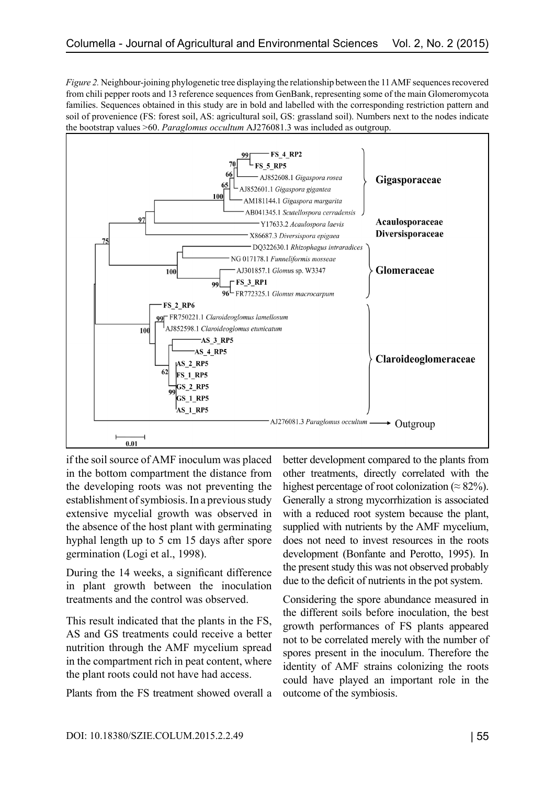*Figure 2.* Neighbour-joining phylogenetic tree displaying the relationship between the 11 AMF sequences recovered from chili pepper roots and 13 reference sequences from GenBank, representing some of the main Glomeromycota families. Sequences obtained in this study are in bold and labelled with the corresponding restriction pattern and soil of provenience (FS: forest soil, AS: agricultural soil, GS: grassland soil). Numbers next to the nodes indicate the bootstrap values >60. *Paraglomus occultum* AJ276081.3 was included as outgroup.



if the soil source of AMF inoculum was placed in the bottom compartment the distance from the developing roots was not preventing the establishment of symbiosis. In a previous study extensive mycelial growth was observed in the absence of the host plant with germinating hyphal length up to 5 cm 15 days after spore germination (Logi et al., 1998).

During the 14 weeks, a significant difference in plant growth between the inoculation treatments and the control was observed.

This result indicated that the plants in the FS, AS and GS treatments could receive a better nutrition through the AMF mycelium spread in the compartment rich in peat content, where the plant roots could not have had access.

Plants from the FS treatment showed overall a

better development compared to the plants from other treatments, directly correlated with the highest percentage of root colonization ( $\approx 82\%$ ). Generally a strong mycorrhization is associated with a reduced root system because the plant, supplied with nutrients by the AMF mycelium, does not need to invest resources in the roots development (Bonfante and Perotto, 1995). In the present study this was not observed probably due to the deficit of nutrients in the pot system.

Considering the spore abundance measured in the different soils before inoculation, the best growth performances of FS plants appeared not to be correlated merely with the number of spores present in the inoculum. Therefore the identity of AMF strains colonizing the roots could have played an important role in the outcome of the symbiosis.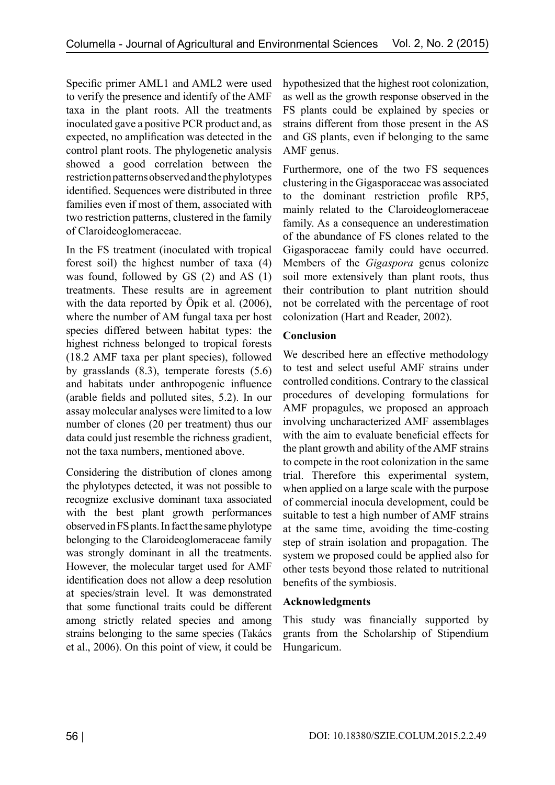Specific primer AML1 and AML2 were used to verify the presence and identify of the AMF taxa in the plant roots. All the treatments inoculated gave a positive PCR product and, as expected, no amplification was detected in the control plant roots. The phylogenetic analysis showed a good correlation between the restriction patterns observed and the phylotypes identified. Sequences were distributed in three families even if most of them, associated with two restriction patterns, clustered in the family of Claroideoglomeraceae.

In the FS treatment (inoculated with tropical forest soil) the highest number of taxa (4) was found, followed by GS (2) and AS (1) treatments. These results are in agreement with the data reported by Öpik et al. (2006), where the number of AM fungal taxa per host species differed between habitat types: the highest richness belonged to tropical forests (18.2 AMF taxa per plant species), followed by grasslands (8.3), temperate forests (5.6) and habitats under anthropogenic influence (arable fields and polluted sites, 5.2). In our assay molecular analyses were limited to a low number of clones (20 per treatment) thus our data could just resemble the richness gradient, not the taxa numbers, mentioned above.

Considering the distribution of clones among the phylotypes detected, it was not possible to recognize exclusive dominant taxa associated with the best plant growth performances observed in FS plants. In fact the same phylotype belonging to the Claroideoglomeraceae family was strongly dominant in all the treatments. However, the molecular target used for AMF identification does not allow a deep resolution at species/strain level. It was demonstrated that some functional traits could be different among strictly related species and among strains belonging to the same species (Takács et al., 2006). On this point of view, it could be

hypothesized that the highest root colonization, as well as the growth response observed in the FS plants could be explained by species or strains different from those present in the AS and GS plants, even if belonging to the same AMF genus.

Furthermore, one of the two FS sequences clustering in the Gigasporaceae was associated to the dominant restriction profile RP5, mainly related to the Claroideoglomeraceae family. As a consequence an underestimation of the abundance of FS clones related to the Gigasporaceae family could have occurred. Members of the *Gigaspora* genus colonize soil more extensively than plant roots, thus their contribution to plant nutrition should not be correlated with the percentage of root colonization (Hart and Reader, 2002).

## **Conclusion**

We described here an effective methodology to test and select useful AMF strains under controlled conditions. Contrary to the classical procedures of developing formulations for AMF propagules, we proposed an approach involving uncharacterized AMF assemblages with the aim to evaluate beneficial effects for the plant growth and ability of the AMF strains to compete in the root colonization in the same trial. Therefore this experimental system, when applied on a large scale with the purpose of commercial inocula development, could be suitable to test a high number of AMF strains at the same time, avoiding the time-costing step of strain isolation and propagation. The system we proposed could be applied also for other tests beyond those related to nutritional benefits of the symbiosis.

#### **Acknowledgments**

This study was financially supported by grants from the Scholarship of Stipendium Hungaricum.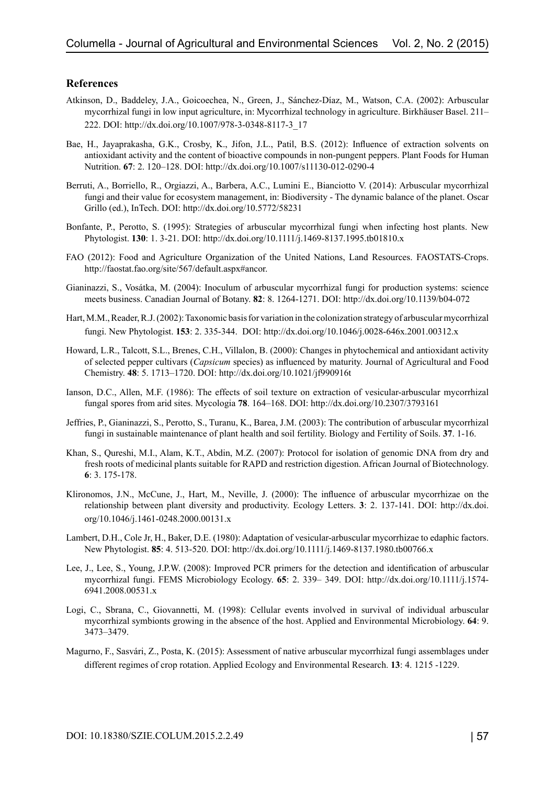#### **References**

- Atkinson, D., Baddeley, J.A., Goicoechea, N., Green, J., Sánchez-Díaz, M., Watson, C.A. (2002): Arbuscular mycorrhizal fungi in low input agriculture, in: Mycorrhizal technology in agriculture. Birkhäuser Basel. 211– 222. DOI: http://dx.doi.org/10.1007/978-3-0348-8117-3\_17
- Bae, H., Jayaprakasha, G.K., Crosby, K., Jifon, J.L., Patil, B.S. (2012): Influence of extraction solvents on antioxidant activity and the content of bioactive compounds in non-pungent peppers. Plant Foods for Human Nutrition. **67**: 2. 120–128. DOI: http://dx.doi.org/10.1007/s11130-012-0290-4
- Berruti, A., Borriello, R., Orgiazzi, A., Barbera, A.C., Lumini E., Bianciotto V. (2014): Arbuscular mycorrhizal fungi and their value for ecosystem management, in: Biodiversity - The dynamic balance of the planet. Oscar Grillo (ed.), InTech. DOI: http://dx.doi.org/10.5772/58231
- Bonfante, P., Perotto, S. (1995): Strategies of arbuscular mycorrhizal fungi when infecting host plants. New Phytologist. **130**: 1. 3-21. DOI: http://dx.doi.org/10.1111/j.1469-8137.1995.tb01810.x
- FAO (2012): Food and Agriculture Organization of the United Nations, Land Resources. FAOSTATS-Crops. http://faostat.fao.org/site/567/default.aspx#ancor.
- Gianinazzi, S., Vosátka, M. (2004): Inoculum of arbuscular mycorrhizal fungi for production systems: science meets business. Canadian Journal of Botany. **82**: 8. 1264-1271. DOI: http://dx.doi.org/10.1139/b04-072
- Hart, M.M., Reader, R.J. (2002): Taxonomic basis for variation in the colonization strategy of arbuscular mycorrhizal fungi. New Phytologist. **153**: 2. 335-344. DOI: http://dx.doi.org/10.1046/j.0028-646x.2001.00312.x
- Howard, L.R., Talcott, S.L., Brenes, C.H., Villalon, B. (2000): Changes in phytochemical and antioxidant activity of selected pepper cultivars (*Capsicum* species) as influenced by maturity. Journal of Agricultural and Food Chemistry. **48**: 5. 1713–1720. DOI: http://dx.doi.org/10.1021/jf990916t
- Ianson, D.C., Allen, M.F. (1986): The effects of soil texture on extraction of vesicular-arbuscular mycorrhizal fungal spores from arid sites. Mycologia **78**. 164–168. DOI: http://dx.doi.org/10.2307/3793161
- Jeffries, P., Gianinazzi, S., Perotto, S., Turanu, K., Barea, J.M. (2003): The contribution of arbuscular mycorrhizal fungi in sustainable maintenance of plant health and soil fertility. Biology and Fertility of Soils. **37**. 1-16.
- Khan, S., Qureshi, M.I., Alam, K.T., Abdin, M.Z. (2007): Protocol for isolation of genomic DNA from dry and fresh roots of medicinal plants suitable for RAPD and restriction digestion. African Journal of Biotechnology. **6**: 3. 175-178.
- Klironomos, J.N., McCune, J., Hart, M., Neville, J. (2000): The influence of arbuscular mycorrhizae on the relationship between plant diversity and productivity. Ecology Letters. **3**: 2. 137-141. DOI: http://dx.doi. org/10.1046/j.1461-0248.2000.00131.x
- Lambert, D.H., Cole Jr, H., Baker, D.E. (1980): Adaptation of vesicular-arbuscular mycorrhizae to edaphic factors. New Phytologist. **85**: 4. 513-520. DOI: http://dx.doi.org/10.1111/j.1469-8137.1980.tb00766.x
- Lee, J., Lee, S., Young, J.P.W. (2008): Improved PCR primers for the detection and identification of arbuscular mycorrhizal fungi. FEMS Microbiology Ecology. **65**: 2. 339– 349. DOI: http://dx.doi.org/10.1111/j.1574- 6941.2008.00531.x
- Logi, C., Sbrana, C., Giovannetti, M. (1998): Cellular events involved in survival of individual arbuscular mycorrhizal symbionts growing in the absence of the host. Applied and Environmental Microbiology. **64**: 9. 3473–3479.
- Magurno, F., Sasvári, Z., Posta, K. (2015): Assessment of native arbuscular mycorrhizal fungi assemblages under different regimes of crop rotation. Applied Ecology and Environmental Research. **13**: 4. 1215 -1229.